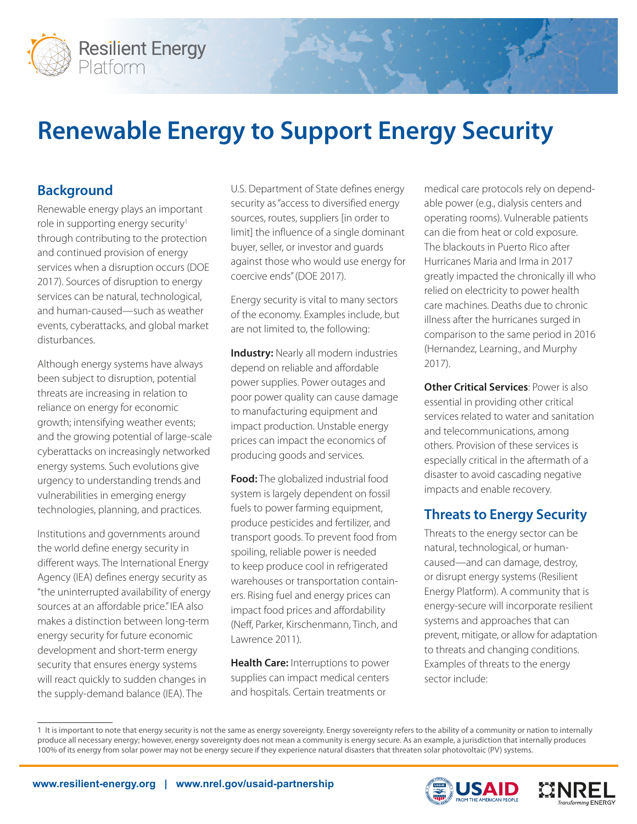

# **Renewable Energy to Support Energy Security**

# **Background**

Renewable energy plays an important role in supporting energy security<sup>1</sup> through contributing to the protection and continued provision of energy services when a disruption occurs (DOE 2017). Sources of disruption to energy services can be natural, technological, and human-caused—such as weather events, cyberattacks, and global market disturbances.

Although energy systems have always been subject to disruption, potential threats are increasing in relation to reliance on energy for economic growth; intensifying weather events; and the growing potential of large-scale cyberattacks on increasingly networked energy systems. Such evolutions give urgency to understanding trends and vulnerabilities in emerging energy technologies, planning, and practices.

Institutions and governments around the world define energy security in different ways. The International Energy Agency (IEA) defines energy security as "the uninterrupted availability of energy sources at an affordable price." IEA also makes a distinction between long-term energy security for future economic development and short-term energy security that ensures energy systems will react quickly to sudden changes in the supply-demand balance (IEA). The

U.S. Department of State defines energy security as "access to diversified energy sources, routes, suppliers [in order to limit] the influence of a single dominant buyer, seller, or investor and guards against those who would use energy for coercive ends" (DOE 2017).

Energy security is vital to many sectors of the economy. Examples include, but are not limited to, the following:

**Industry:** Nearly all modern industries depend on reliable and affordable power supplies. Power outages and poor power quality can cause damage to manufacturing equipment and impact production. Unstable energy prices can impact the economics of producing goods and services.

**Food:** The globalized industrial food system is largely dependent on fossil fuels to power farming equipment, produce pesticides and fertilizer, and transport goods. To prevent food from spoiling, reliable power is needed to keep produce cool in refrigerated warehouses or transportation containers. Rising fuel and energy prices can impact food prices and affordability (Neff, Parker, Kirschenmann, Tinch, and Lawrence 2011).

**Health Care:** Interruptions to power supplies can impact medical centers and hospitals. Certain treatments or

medical care protocols rely on dependable power (e.g., dialysis centers and operating rooms). Vulnerable patients can die from heat or cold exposure. The blackouts in Puerto Rico after Hurricanes Maria and Irma in 2017 greatly impacted the chronically ill who relied on electricity to power health care machines. Deaths due to chronic illness after the hurricanes surged in comparison to the same period in 2016 (Hernandez, Learning., and Murphy 2017).

**Other Critical Services**: Power is also essential in providing other critical services related to water and sanitation and telecommunications, among others. Provision of these services is especially critical in the aftermath of a disaster to avoid cascading negative impacts and enable recovery.

# **Threats to Energy Security**

Threats to the energy sector can be natural, technological, or humancaused—and can damage, destroy, or disrupt energy systems (Resilient Energy Platform). A community that is energy-secure will incorporate resilient systems and approaches that can prevent, mitigate, or allow for adaptation to threats and changing conditions. Examples of threats to the energy sector include:

1 It is important to note that energy security is not the same as energy sovereignty. Energy sovereignty refers to the ability of a community or nation to internally produce all necessary energy; however, energy sovereignty does not mean a community is energy secure. As an example, a jurisdiction that internally produces 100% of its energy from solar power may not be energy secure if they experience natural disasters that threaten solar photovoltaic (PV) systems.



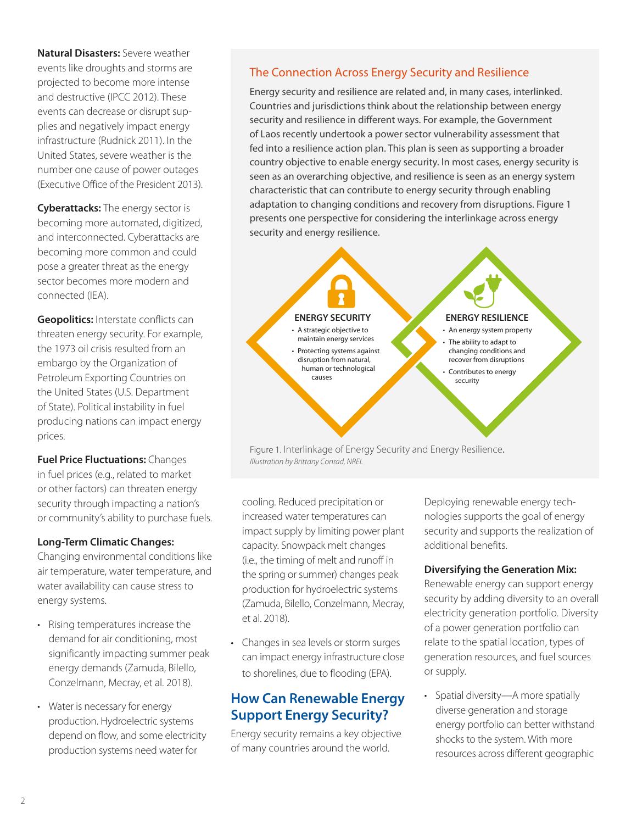**Natural Disasters:** Severe weather events like droughts and storms are projected to become more intense and destructive (IPCC 2012). These events can decrease or disrupt supplies and negatively impact energy infrastructure (Rudnick 2011). In the United States, severe weather is the number one cause of power outages (Executive Office of the President 2013).

**Cyberattacks:** The energy sector is becoming more automated, digitized, and interconnected. Cyberattacks are becoming more common and could pose a greater threat as the energy sector becomes more modern and connected (IEA).

**Geopolitics:** Interstate conflicts can threaten energy security. For example, the 1973 oil crisis resulted from an embargo by the Organization of Petroleum Exporting Countries on the United States (U.S. Department of State). Political instability in fuel producing nations can impact energy prices.

**Fuel Price Fluctuations:** Changes in fuel prices (e.g., related to market or other factors) can threaten energy security through impacting a nation's or community's ability to purchase fuels.

#### **Long-Term Climatic Changes:**

Changing environmental conditions like air temperature, water temperature, and water availability can cause stress to energy systems.

- Rising temperatures increase the demand for air conditioning, most significantly impacting summer peak energy demands (Zamuda, Bilello, Conzelmann, Mecray, et al. 2018).
- Water is necessary for energy production. Hydroelectric systems depend on flow, and some electricity production systems need water for

## The Connection Across Energy Security and Resilience

Energy security and resilience are related and, in many cases, interlinked. Countries and jurisdictions think about the relationship between energy security and resilience in different ways. For example, the Government of Laos recently undertook a power sector vulnerability assessment that fed into a resilience action plan. This plan is seen as supporting a broader country objective to enable energy security. In most cases, energy security is seen as an overarching objective, and resilience is seen as an energy system characteristic that can contribute to energy security through enabling adaptation to changing conditions and recovery from disruptions. Figure 1 presents one perspective for considering the interlinkage across energy security and energy resilience.



maintain energy services • Protecting systems against disruption from natural, human or technological causes

#### **ENERGY RESILIENCE**

- An energy system property The ability to adapt to changing conditions and recover from disruptions Contributes to energy
	- security

Figure 1. Interlinkage of Energy Security and Energy Resilience. *Illustration by Brittany Conrad, NREL*

cooling. Reduced precipitation or increased water temperatures can impact supply by limiting power plant capacity. Snowpack melt changes (i.e., the timing of melt and runoff in the spring or summer) changes peak production for hydroelectric systems (Zamuda, Bilello, Conzelmann, Mecray, et al. 2018).

• Changes in sea levels or storm surges can impact energy infrastructure close to shorelines, due to flooding (EPA).

## **How Can Renewable Energy Support Energy Security?**

Energy security remains a key objective of many countries around the world.

Deploying renewable energy technologies supports the goal of energy security and supports the realization of additional benefits.

#### **Diversifying the Generation Mix:**

Renewable energy can support energy security by adding diversity to an overall electricity generation portfolio. Diversity of a power generation portfolio can relate to the spatial location, types of generation resources, and fuel sources or supply.

• Spatial diversity—A more spatially diverse generation and storage energy portfolio can better withstand shocks to the system. With more resources across different geographic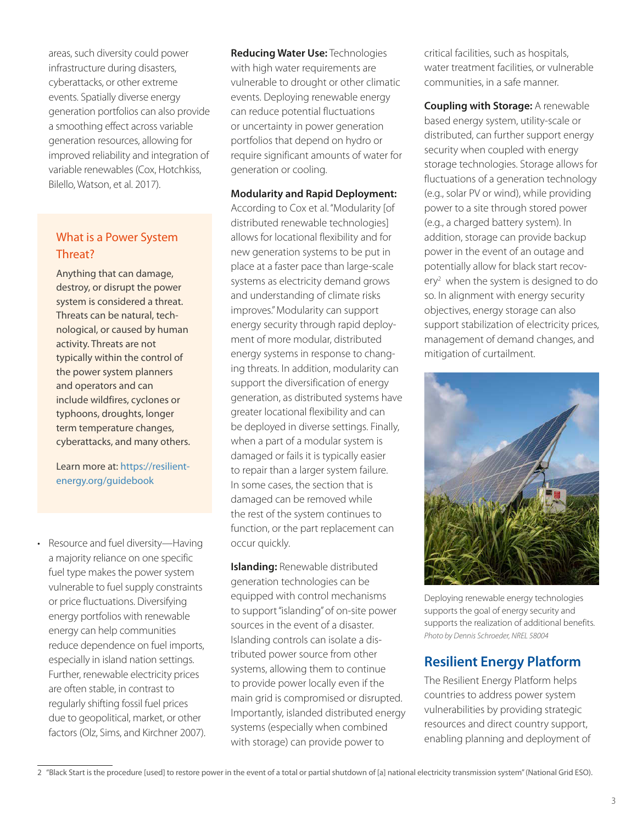areas, such diversity could power infrastructure during disasters, cyberattacks, or other extreme events. Spatially diverse energy generation portfolios can also provide a smoothing effect across variable generation resources, allowing for improved reliability and integration of variable renewables (Cox, Hotchkiss, Bilello, Watson, et al. 2017).

## What is a Power System Threat?

Anything that can damage, destroy, or disrupt the power system is considered a threat. Threats can be natural, technological, or caused by human activity. Threats are not typically within the control of the power system planners and operators and can include wildfires, cyclones or typhoons, droughts, longer term temperature changes, cyberattacks, and many others.

Learn more at: [https://resilient](https://resilient-energy.org/guidebook)[energy.org/guidebook](https://resilient-energy.org/guidebook)

• Resource and fuel diversity—Having a majority reliance on one specific fuel type makes the power system vulnerable to fuel supply constraints or price fluctuations. Diversifying energy portfolios with renewable energy can help communities reduce dependence on fuel imports, especially in island nation settings. Further, renewable electricity prices are often stable, in contrast to regularly shifting fossil fuel prices due to geopolitical, market, or other factors (Olz, Sims, and Kirchner 2007). **Reducing Water Use:** Technologies with high water requirements are vulnerable to drought or other climatic events. Deploying renewable energy can reduce potential fluctuations or uncertainty in power generation portfolios that depend on hydro or require significant amounts of water for generation or cooling.

**Modularity and Rapid Deployment:** 

According to Cox et al. "Modularity [of distributed renewable technologies] allows for locational flexibility and for new generation systems to be put in place at a faster pace than large-scale systems as electricity demand grows and understanding of climate risks improves." Modularity can support energy security through rapid deployment of more modular, distributed energy systems in response to changing threats. In addition, modularity can support the diversification of energy generation, as distributed systems have greater locational flexibility and can be deployed in diverse settings. Finally, when a part of a modular system is damaged or fails it is typically easier to repair than a larger system failure. In some cases, the section that is damaged can be removed while the rest of the system continues to function, or the part replacement can occur quickly.

**Islanding:** Renewable distributed generation technologies can be equipped with control mechanisms to support "islanding" of on-site power sources in the event of a disaster. Islanding controls can isolate a distributed power source from other systems, allowing them to continue to provide power locally even if the main grid is compromised or disrupted. Importantly, islanded distributed energy systems (especially when combined with storage) can provide power to

critical facilities, such as hospitals, water treatment facilities, or vulnerable communities, in a safe manner.

**Coupling with Storage:** A renewable based energy system, utility-scale or distributed, can further support energy security when coupled with energy storage technologies. Storage allows for fluctuations of a generation technology (e.g., solar PV or wind), while providing power to a site through stored power (e.g., a charged battery system). In addition, storage can provide backup power in the event of an outage and potentially allow for black start recovery<sup>2</sup> when the system is designed to do so. In alignment with energy security objectives, energy storage can also support stabilization of electricity prices, management of demand changes, and mitigation of curtailment.



Deploying renewable energy technologies supports the goal of energy security and supports the realization of additional benefits. *Photo by Dennis Schroeder, NREL 58004*

# **Resilient Energy Platform**

The Resilient Energy Platform helps countries to address power system vulnerabilities by providing strategic resources and direct country support, enabling planning and deployment of

<sup>2 &</sup>quot;Black Start is the procedure [used] to restore power in the event of a total or partial shutdown of [a] national electricity transmission system" (National Grid ESO).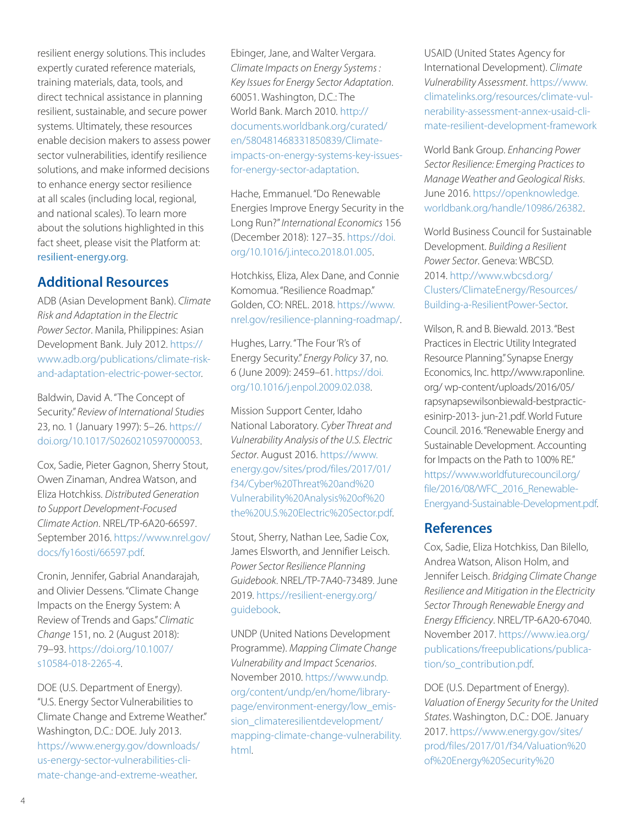resilient energy solutions. This includes expertly curated reference materials, training materials, data, tools, and direct technical assistance in planning resilient, sustainable, and secure power systems. Ultimately, these resources enable decision makers to assess power sector vulnerabilities, identify resilience solutions, and make informed decisions to enhance energy sector resilience at all scales (including local, regional, and national scales). To learn more about the solutions highlighted in this fact sheet, please visit the Platform at: [resilient-energy.org](http://resilient-energy.org).

## **Additional Resources**

ADB (Asian Development Bank). *Climate Risk and Adaptation in the Electric Power Sector*. Manila, Philippines: Asian Development Bank. July 2012. [https://](https://www.adb.org/publications/climate-risk-and-adaptation-electric-power-sector) [www.adb.org/publications/climate-risk](https://www.adb.org/publications/climate-risk-and-adaptation-electric-power-sector)[and-adaptation-electric-power-sector](https://www.adb.org/publications/climate-risk-and-adaptation-electric-power-sector).

Baldwin, David A. "The Concept of Security." *Review of International Studies*  23, no. 1 (January 1997): 5–26. [https://](https://doi.org/10.1017/S0260210597000053) [doi.org/10.1017/S0260210597000053](https://doi.org/10.1017/S0260210597000053).

Cox, Sadie, Pieter Gagnon, Sherry Stout, Owen Zinaman, Andrea Watson, and Eliza Hotchkiss. *Distributed Generation to Support Development-Focused Climate Action*. NREL/TP-6A20-66597. September 2016. [https://www.nrel.gov/](https://www.nrel.gov/docs/fy16osti/66597.pdf) [docs/fy16osti/66597.pdf](https://www.nrel.gov/docs/fy16osti/66597.pdf).

Cronin, Jennifer, Gabrial Anandarajah, and Olivier Dessens. "Climate Change Impacts on the Energy System: A Review of Trends and Gaps." *Climatic Change* 151, no. 2 (August 2018): 79–93. [https://doi.org/10.1007/](https://doi.org/10.1007/s10584-018-2265-4) [s10584-018-2265-4.](https://doi.org/10.1007/s10584-018-2265-4)

DOE (U.S. Department of Energy). "U.S. Energy Sector Vulnerabilities to Climate Change and Extreme Weather." Washington, D.C.: DOE. July 2013. [https://www.energy.gov/downloads/](https://www.energy.gov/downloads/us-energy-sector-vulnerabilities-climate-change-and-extreme-weather) [us-energy-sector-vulnerabilities-cli](https://www.energy.gov/downloads/us-energy-sector-vulnerabilities-climate-change-and-extreme-weather)[mate-change-and-extreme-weather.](https://www.energy.gov/downloads/us-energy-sector-vulnerabilities-climate-change-and-extreme-weather)

Ebinger, Jane, and Walter Vergara. *Climate Impacts on Energy Systems : Key Issues for Energy Sector Adaptation*. 60051. Washington, D.C.: The World Bank. March 2010. [http://](http://documents.worldbank.org/curated/en/580481468331850839/Climate-impacts-on-energy-systems-key-i) [documents.worldbank.org/curated/](http://documents.worldbank.org/curated/en/580481468331850839/Climate-impacts-on-energy-systems-key-i) [en/580481468331850839/Climate](http://documents.worldbank.org/curated/en/580481468331850839/Climate-impacts-on-energy-systems-key-i)[impacts-on-energy-systems-key-issues](http://documents.worldbank.org/curated/en/580481468331850839/Climate-impacts-on-energy-systems-key-i)[for-energy-sector-adaptation](http://documents.worldbank.org/curated/en/580481468331850839/Climate-impacts-on-energy-systems-key-i).

Hache, Emmanuel. "Do Renewable Energies Improve Energy Security in the Long Run?" *International Economics* 156 (December 2018): 127–35. [https://doi.](https://doi.org/10.1016/j.inteco.2018.01.005) [org/10.1016/j.inteco.2018.01.005.](https://doi.org/10.1016/j.inteco.2018.01.005)

Hotchkiss, Eliza, Alex Dane, and Connie Komomua. "Resilience Roadmap." Golden, CO: NREL. 2018. [https://www.](https://www.nrel.gov/resilience-planning-roadmap/) [nrel.gov/resilience-planning-roadmap/](https://www.nrel.gov/resilience-planning-roadmap/).

Hughes, Larry. "The Four 'R's of Energy Security." *Energy Policy* 37, no. 6 (June 2009): 2459–61. [https://doi.](https://doi.org/10.1016/j.enpol.2009.02.038) [org/10.1016/j.enpol.2009.02.038](https://doi.org/10.1016/j.enpol.2009.02.038).

Mission Support Center, Idaho National Laboratory. *Cyber Threat and Vulnerability Analysis of the U.S. Electric Sector*. August 2016. [https://www.](https://www.energy.gov/sites/prod/files/2017/01/f34/Cyber%20Threat%20and%20Vulnerability%20Analysis%20of%20the%20U.S.%20Electric%20Sector.pdf) [energy.gov/sites/prod/files/2017/01/](https://www.energy.gov/sites/prod/files/2017/01/f34/Cyber%20Threat%20and%20Vulnerability%20Analysis%20of%20the%20U.S.%20Electric%20Sector.pdf) [f34/Cyber%20Threat%20and%20](https://www.energy.gov/sites/prod/files/2017/01/f34/Cyber%20Threat%20and%20Vulnerability%20Analysis%20of%20the%20U.S.%20Electric%20Sector.pdf) [Vulnerability%20Analysis%20of%20](https://www.energy.gov/sites/prod/files/2017/01/f34/Cyber%20Threat%20and%20Vulnerability%20Analysis%20of%20the%20U.S.%20Electric%20Sector.pdf) [the%20U.S.%20Electric%20Sector.pdf.](https://www.energy.gov/sites/prod/files/2017/01/f34/Cyber%20Threat%20and%20Vulnerability%20Analysis%20of%20the%20U.S.%20Electric%20Sector.pdf)

Stout, Sherry, Nathan Lee, Sadie Cox, James Elsworth, and Jennifier Leisch. *Power Sector Resilience Planning Guidebook*. NREL/TP-7A40-73489. June 2019. [https://resilient-energy.org/](https://resilient-energy.org/guidebook) [guidebook.](https://resilient-energy.org/guidebook)

UNDP (United Nations Development Programme). *Mapping Climate Change Vulnerability and Impact Scenarios*. November 2010. [https://www.undp.](https://www.undp.org/content/undp/en/home/librarypage/environment-energy/low_emission_climateresilientdevelopment/mapping-climate-change-vulnerability.html) [org/content/undp/en/home/library](https://www.undp.org/content/undp/en/home/librarypage/environment-energy/low_emission_climateresilientdevelopment/mapping-climate-change-vulnerability.html)[page/environment-energy/low\\_emis](https://www.undp.org/content/undp/en/home/librarypage/environment-energy/low_emission_climateresilientdevelopment/mapping-climate-change-vulnerability.html)[sion\\_climateresilientdevelopment/](https://www.undp.org/content/undp/en/home/librarypage/environment-energy/low_emission_climateresilientdevelopment/mapping-climate-change-vulnerability.html) [mapping-climate-change-vulnerability.](https://www.undp.org/content/undp/en/home/librarypage/environment-energy/low_emission_climateresilientdevelopment/mapping-climate-change-vulnerability.html) [html.](https://www.undp.org/content/undp/en/home/librarypage/environment-energy/low_emission_climateresilientdevelopment/mapping-climate-change-vulnerability.html)

USAID (United States Agency for International Development). *Climate Vulnerability Assessment*. [https://www.](https://www.climatelinks.org/resources/climate-vulnerability-assessment-annex-usaid-climate-resilien) [climatelinks.org/resources/climate-vul](https://www.climatelinks.org/resources/climate-vulnerability-assessment-annex-usaid-climate-resilien)[nerability-assessment-annex-usaid-cli](https://www.climatelinks.org/resources/climate-vulnerability-assessment-annex-usaid-climate-resilien)[mate-resilient-development-framework](https://www.climatelinks.org/resources/climate-vulnerability-assessment-annex-usaid-climate-resilien)

World Bank Group. *Enhancing Power Sector Resilience: Emerging Practices to Manage Weather and Geological Risks*. June 2016. [https://openknowledge.](https://openknowledge.worldbank.org/handle/10986/26382) [worldbank.org/handle/10986/26382.](https://openknowledge.worldbank.org/handle/10986/26382)

World Business Council for Sustainable Development. *Building a Resilient Power Sector*. Geneva: WBCSD. 2014. [http://www.wbcsd.org/](http://www.wbcsd.org/Clusters/ClimateEnergy/Resources/Building-a-ResilientPower-Sector) [Clusters/ClimateEnergy/Resources/](http://www.wbcsd.org/Clusters/ClimateEnergy/Resources/Building-a-ResilientPower-Sector) [Building-a-ResilientPower-Sector.](http://www.wbcsd.org/Clusters/ClimateEnergy/Resources/Building-a-ResilientPower-Sector)

Wilson, R. and B. Biewald. 2013. "Best Practices in Electric Utility Integrated Resource Planning." Synapse Energy Economics, Inc. http://www.raponline. org/ wp-content/uploads/2016/05/ rapsynapsewilsonbiewald-bestpracticesinirp-2013- jun-21.pdf. World Future Council. 2016. "Renewable Energy and Sustainable Development. Accounting for Impacts on the Path to 100% RE." [https://www.worldfuturecouncil.org/](https://www.worldfuturecouncil.org/file/2016/08/WFC_2016_Renewable-Energyand-Sustainable-Development.pdf) file/2016/08/WFC 2016 Renewable-[Energyand-Sustainable-Development.pdf.](https://www.worldfuturecouncil.org/file/2016/08/WFC_2016_Renewable-Energyand-Sustainable-Development.pdf)

## **References**

Cox, Sadie, Eliza Hotchkiss, Dan Bilello, Andrea Watson, Alison Holm, and Jennifer Leisch. *Bridging Climate Change Resilience and Mitigation in the Electricity Sector Through Renewable Energy and Energy Efficiency*. NREL/TP-6A20-67040. November 2017. [https://www.iea.org/](https://www.iea.org/publications/freepublications/publication/so_contribution.pdf) [publications/freepublications/publica](https://www.iea.org/publications/freepublications/publication/so_contribution.pdf)[tion/so\\_contribution.pdf](https://www.iea.org/publications/freepublications/publication/so_contribution.pdf).

DOE (U.S. Department of Energy). *Valuation of Energy Security for the United States*. Washington, D.C.: DOE. January 2017. [https://www.energy.gov/sites/](https://www.energy.gov/sites/prod/files/2017/01/f34/Valuation%20of%20Energy%20Security%20for%20the%20United%20States%20%28Full%20Report%29_1.pdf) [prod/files/2017/01/f34/Valuation%20](https://www.energy.gov/sites/prod/files/2017/01/f34/Valuation%20of%20Energy%20Security%20for%20the%20United%20States%20%28Full%20Report%29_1.pdf) [of%20Energy%20Security%20](https://www.energy.gov/sites/prod/files/2017/01/f34/Valuation%20of%20Energy%20Security%20for%20the%20United%20States%20%28Full%20Report%29_1.pdf)